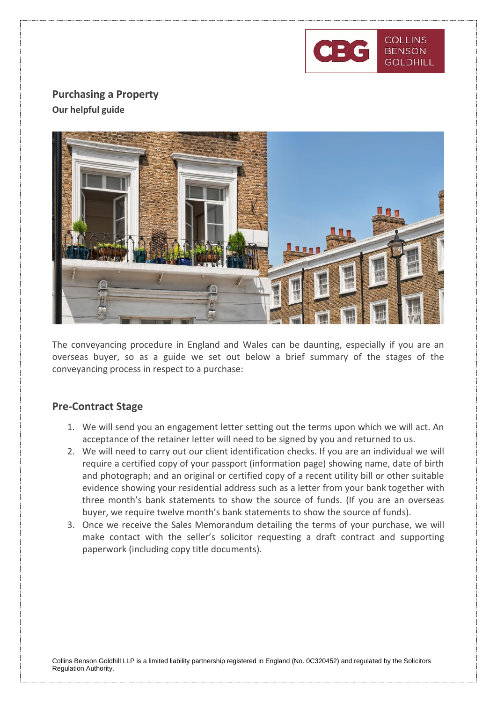

# **Purchasing a Property Our helpful guide**



The conveyancing procedure in England and Wales can be daunting, especially if you are an overseas buyer, so as a guide we set out below a brief summary of the stages of the conveyancing process in respect to a purchase:

## **Pre-Contract Stage**

- 1. We will send you an engagement letter setting out the terms upon which we will act. An acceptance of the retainer letter will need to be signed by you and returned to us.
- 2. We will need to carry out our client identification checks. If you are an individual we will require a certified copy of your passport (information page) showing name, date of birth and photograph; and an original or certified copy of a recent utility bill or other suitable evidence showing your residential address such as a letter from your bank together with three month's bank statements to show the source of funds. (If you are an overseas buyer, we require twelve month's bank statements to show the source of funds).
- 3. Once we receive the Sales Memorandum detailing the terms of your purchase, we will make contact with the seller's solicitor requesting a draft contract and supporting paperwork (including copy title documents).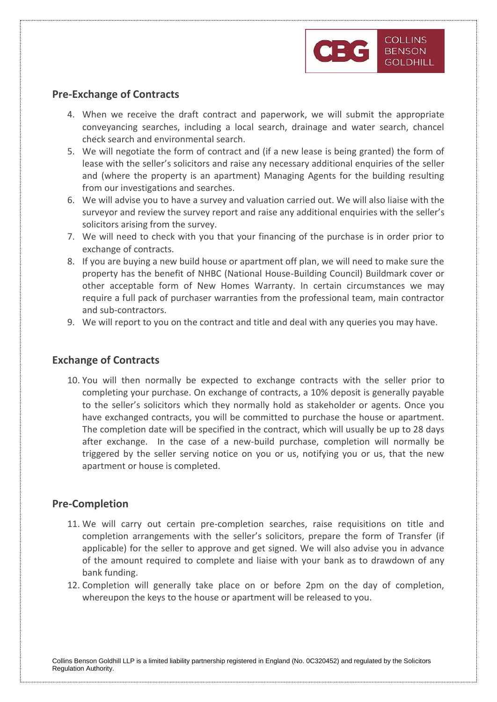

## **Pre-Exchange of Contracts**

- 4. When we receive the draft contract and paperwork, we will submit the appropriate conveyancing searches, including a local search, drainage and water search, chancel check search and environmental search.
- 5. We will negotiate the form of contract and (if a new lease is being granted) the form of lease with the seller's solicitors and raise any necessary additional enquiries of the seller and (where the property is an apartment) Managing Agents for the building resulting from our investigations and searches.
- 6. We will advise you to have a survey and valuation carried out. We will also liaise with the surveyor and review the survey report and raise any additional enquiries with the seller's solicitors arising from the survey.
- 7. We will need to check with you that your financing of the purchase is in order prior to exchange of contracts.
- 8. If you are buying a new build house or apartment off plan, we will need to make sure the property has the benefit of NHBC (National House-Building Council) Buildmark cover or other acceptable form of New Homes Warranty. In certain circumstances we may require a full pack of purchaser warranties from the professional team, main contractor and sub-contractors.
- 9. We will report to you on the contract and title and deal with any queries you may have.

## **Exchange of Contracts**

10. You will then normally be expected to exchange contracts with the seller prior to completing your purchase. On exchange of contracts, a 10% deposit is generally payable to the seller's solicitors which they normally hold as stakeholder or agents. Once you have exchanged contracts, you will be committed to purchase the house or apartment. The completion date will be specified in the contract, which will usually be up to 28 days after exchange. In the case of a new-build purchase, completion will normally be triggered by the seller serving notice on you or us, notifying you or us, that the new apartment or house is completed.

#### **Pre-Completion**

- 11. We will carry out certain pre-completion searches, raise requisitions on title and completion arrangements with the seller's solicitors, prepare the form of Transfer (if applicable) for the seller to approve and get signed. We will also advise you in advance of the amount required to complete and liaise with your bank as to drawdown of any bank funding.
- 12. Completion will generally take place on or before 2pm on the day of completion, whereupon the keys to the house or apartment will be released to you.